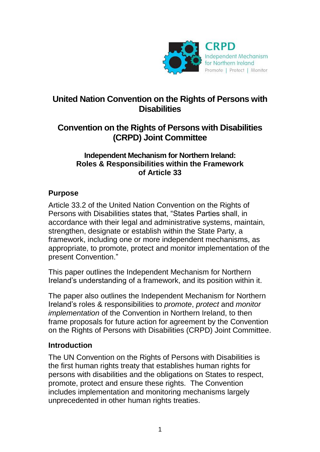

# **United Nation Convention on the Rights of Persons with Disabilities**

# **Convention on the Rights of Persons with Disabilities (CRPD) Joint Committee**

#### **Independent Mechanism for Northern Ireland: Roles & Responsibilities within the Framework of Article 33**

# **Purpose**

Article 33.2 of the United Nation Convention on the Rights of Persons with Disabilities states that, "States Parties shall, in accordance with their legal and administrative systems, maintain, strengthen, designate or establish within the State Party, a framework, including one or more independent mechanisms, as appropriate, to promote, protect and monitor implementation of the present Convention."

This paper outlines the Independent Mechanism for Northern Ireland's understanding of a framework, and its position within it.

The paper also outlines the Independent Mechanism for Northern Ireland's roles & responsibilities to *promote*, *protect* and *monitor implementation* of the Convention in Northern Ireland, to then frame proposals for future action for agreement by the Convention on the Rights of Persons with Disabilities (CRPD) Joint Committee.

## **Introduction**

The UN Convention on the Rights of Persons with Disabilities is the first human rights treaty that establishes human rights for persons with disabilities and the obligations on States to respect, promote, protect and ensure these rights. The Convention includes implementation and monitoring mechanisms largely unprecedented in other human rights treaties.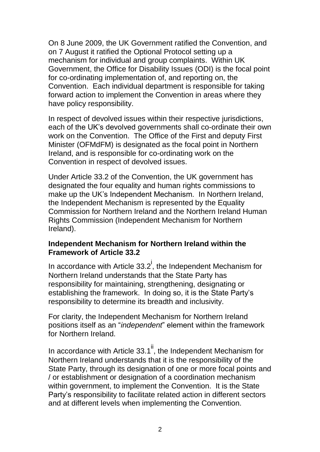On 8 June 2009, the UK Government ratified the Convention, and on 7 August it ratified the Optional Protocol setting up a mechanism for individual and group complaints. Within UK Government, the Office for Disability Issues (ODI) is the focal point for co-ordinating implementation of, and reporting on, the Convention. Each individual department is responsible for taking forward action to implement the Convention in areas where they have policy responsibility.

In respect of devolved issues within their respective jurisdictions, each of the UK's devolved governments shall co-ordinate their own work on the Convention. The Office of the First and deputy First Minister (OFMdFM) is designated as the focal point in Northern Ireland, and is responsible for co-ordinating work on the Convention in respect of devolved issues.

Under Article 33.2 of the Convention, the UK government has designated the four equality and human rights commissions to make up the UK's Independent Mechanism. In Northern Ireland, the Independent Mechanism is represented by the Equality Commission for Northern Ireland and the Northern Ireland Human Rights Commission (Independent Mechanism for Northern Ireland).

## **Independent Mechanism for Northern Ireland within the Framework of Article 33.2**

In accordance with Article  $33.2^{\mathsf{i}}$ , the Independent Mechanism for Northern Ireland understands that the State Party has responsibility for maintaining, strengthening, designating or establishing the framework. In doing so, it is the State Party's responsibility to determine its breadth and inclusivity.

For clarity, the Independent Mechanism for Northern Ireland positions itself as an "*independent*" element within the framework for Northern Ireland.

In accordance with Article  $33.1^{\text{ii}}$ , the Independent Mechanism for Northern Ireland understands that it is the responsibility of the State Party, through its designation of one or more focal points and / or establishment or designation of a coordination mechanism within government, to implement the Convention. It is the State Party's responsibility to facilitate related action in different sectors and at different levels when implementing the Convention.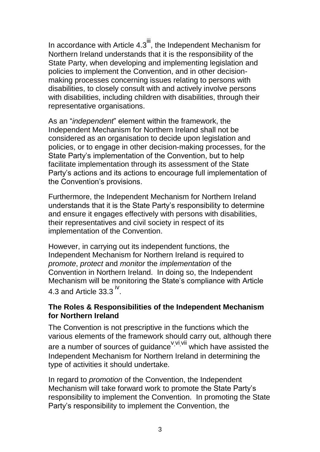In accordance with Article  $4.3^{\text{iii}}$ , the Independent Mechanism for Northern Ireland understands that it is the responsibility of the State Party, when developing and implementing legislation and policies to implement the Convention, and in other decisionmaking processes concerning issues relating to persons with disabilities, to closely consult with and actively involve persons with disabilities, including children with disabilities, through their representative organisations.

As an "*independent*" element within the framework, the Independent Mechanism for Northern Ireland shall not be considered as an organisation to decide upon legislation and policies, or to engage in other decision-making processes, for the State Party's implementation of the Convention, but to help facilitate implementation through its assessment of the State Party's actions and its actions to encourage full implementation of the Convention's provisions.

Furthermore, the Independent Mechanism for Northern Ireland understands that it is the State Party's responsibility to determine and ensure it engages effectively with persons with disabilities, their representatives and civil society in respect of its implementation of the Convention.

However, in carrying out its independent functions, the Independent Mechanism for Northern Ireland is required to *promote*, *protect* and *monitor* the *implementation* of the Convention in Northern Ireland. In doing so, the Independent Mechanism will be monitoring the State's compliance with Article 4.3 and Article 33.3  $\mathrm{^{iv}}$ .

## **The Roles & Responsibilities of the Independent Mechanism for Northern Ireland**

The Convention is not prescriptive in the functions which the various elements of the framework should carry out, although there are a number of sources of guidance <sup>v, vi, vii</sup> which have assisted the Independent Mechanism for Northern Ireland in determining the type of activities it should undertake.

In regard to *promotion* of the Convention, the Independent Mechanism will take forward work to promote the State Party's responsibility to implement the Convention. In promoting the State Party's responsibility to implement the Convention, the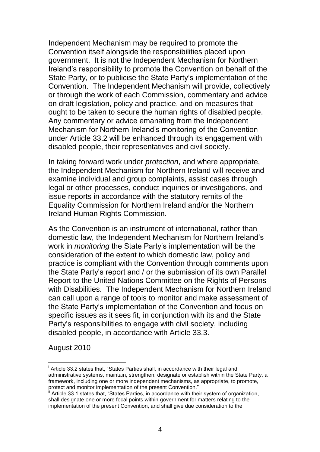Independent Mechanism may be required to promote the Convention itself alongside the responsibilities placed upon government. It is not the Independent Mechanism for Northern Ireland's responsibility to promote the Convention on behalf of the State Party, or to publicise the State Party's implementation of the Convention. The Independent Mechanism will provide, collectively or through the work of each Commission, commentary and advice on draft legislation, policy and practice, and on measures that ought to be taken to secure the human rights of disabled people. Any commentary or advice emanating from the Independent Mechanism for Northern Ireland's monitoring of the Convention under Article 33.2 will be enhanced through its engagement with disabled people, their representatives and civil society.

In taking forward work under *protection*, and where appropriate, the Independent Mechanism for Northern Ireland will receive and examine individual and group complaints, assist cases through legal or other processes, conduct inquiries or investigations, and issue reports in accordance with the statutory remits of the Equality Commission for Northern Ireland and/or the Northern Ireland Human Rights Commission.

As the Convention is an instrument of international, rather than domestic law, the Independent Mechanism for Northern Ireland's work in *monitoring* the State Party's implementation will be the consideration of the extent to which domestic law, policy and practice is compliant with the Convention through comments upon the State Party's report and / or the submission of its own Parallel Report to the United Nations Committee on the Rights of Persons with Disabilities. The Independent Mechanism for Northern Ireland can call upon a range of tools to monitor and make assessment of the State Party's implementation of the Convention and focus on specific issues as it sees fit, in conjunction with its and the State Party's responsibilities to engage with civil society, including disabled people, in accordance with Article 33.3.

August 2010

1

<sup>&</sup>lt;sup>i</sup> Article 33.2 states that, "States Parties shall, in accordance with their legal and administrative systems, maintain, strengthen, designate or establish within the State Party, a framework, including one or more independent mechanisms, as appropriate, to promote, protect and monitor implementation of the present Convention."

Article 33.1 states that, "States Parties, in accordance with their system of organization, shall designate one or more focal points within government for matters relating to the implementation of the present Convention, and shall give due consideration to the